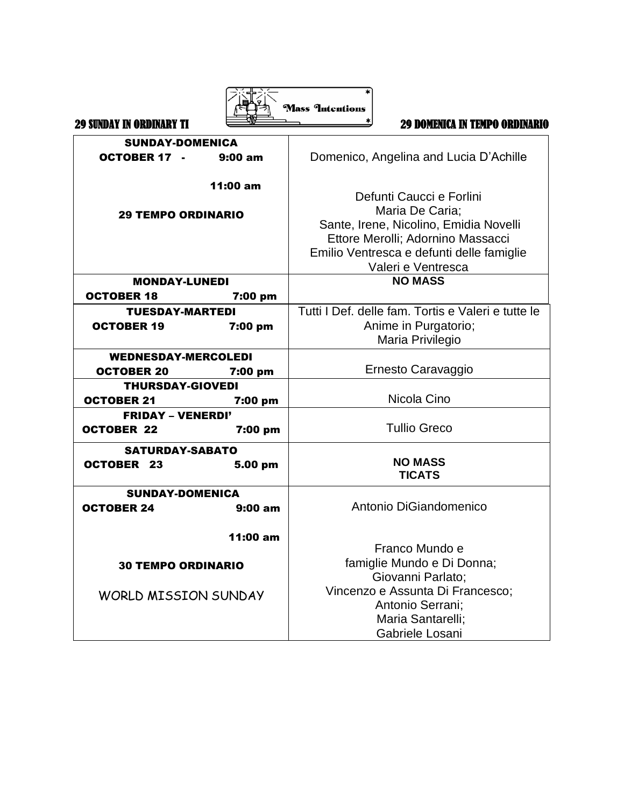|                                 |          | <b>Mass Intentions</b>                             |
|---------------------------------|----------|----------------------------------------------------|
| <b>29 SUNDAY IN ORDINARY TI</b> |          | <b>29 DOMENICA IN TEMPO ORDINARIO</b>              |
| <b>SUNDAY-DOMENICA</b>          |          |                                                    |
| <b>OCTOBER 17 -</b>             | 9:00 am  | Domenico, Angelina and Lucia D'Achille             |
|                                 | 11:00 am | Defunti Caucci e Forlini                           |
| <b>29 TEMPO ORDINARIO</b>       |          | Maria De Caria;                                    |
|                                 |          | Sante, Irene, Nicolino, Emidia Novelli             |
|                                 |          | Ettore Merolli; Adornino Massacci                  |
|                                 |          | Emilio Ventresca e defunti delle famiglie          |
|                                 |          | Valeri e Ventresca                                 |
| <b>MONDAY-LUNEDI</b>            |          | <b>NO MASS</b>                                     |
| <b>OCTOBER 18</b>               | 7:00 pm  |                                                    |
| <b>TUESDAY-MARTEDI</b>          |          | Tutti I Def. delle fam. Tortis e Valeri e tutte le |
| <b>OCTOBER 19</b>               | 7:00 pm  | Anime in Purgatorio;                               |
|                                 |          | Maria Privilegio                                   |
| <b>WEDNESDAY-MERCOLEDI</b>      |          |                                                    |
| <b>OCTOBER 20</b>               | 7:00 pm  | Ernesto Caravaggio                                 |
| <b>THURSDAY-GIOVEDI</b>         |          |                                                    |
| <b>OCTOBER 21</b>               | 7:00 pm  | Nicola Cino                                        |
| <b>FRIDAY - VENERDI'</b>        |          |                                                    |
| <b>OCTOBER 22</b>               | 7:00 pm  | <b>Tullio Greco</b>                                |
| <b>SATURDAY-SABATO</b>          |          |                                                    |
| <b>OCTOBER 23</b>               | 5.00 pm  | <b>NO MASS</b><br><b>TICATS</b>                    |
| <b>SUNDAY-DOMENICA</b>          |          |                                                    |
| <b>OCTOBER 24</b>               | 9:00 am  | Antonio DiGiandomenico                             |
|                                 | 11:00 am |                                                    |
|                                 |          | Franco Mundo e                                     |
| <b>30 TEMPO ORDINARIO</b>       |          | famiglie Mundo e Di Donna;                         |
|                                 |          | Giovanni Parlato;                                  |
| <b>WORLD MISSION SUNDAY</b>     |          | Vincenzo e Assunta Di Francesco;                   |
|                                 |          | Antonio Serrani;                                   |
|                                 |          | Maria Santarelli;                                  |
|                                 |          | Gabriele Losani                                    |